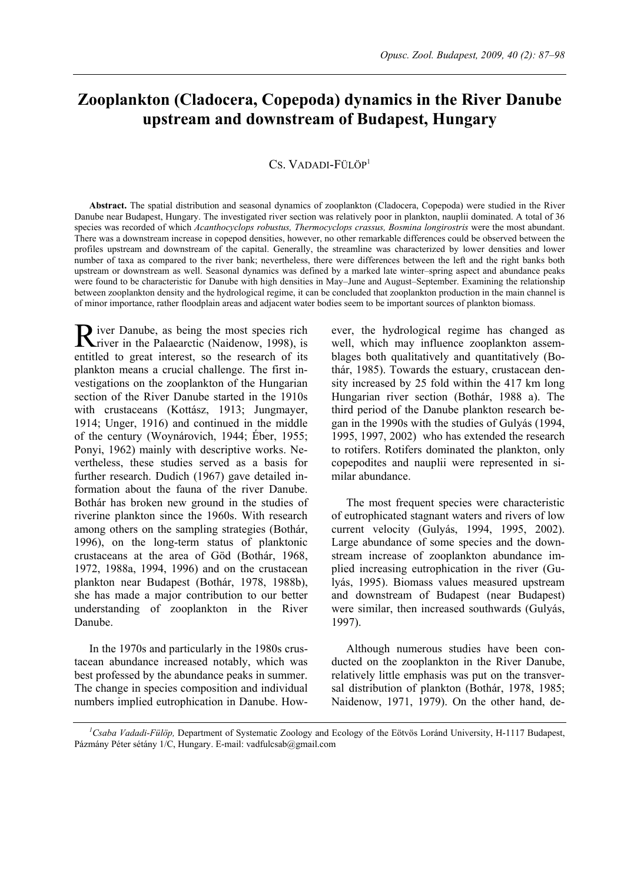# **Zooplankton (Cladocera, Copepoda) dynamics in the River Danube upstream and downstream of Budapest, Hungary**

#### CS. VADADI-FÜLÖP<sup>1</sup>

**Abstract.** The spatial distribution and seasonal dynamics of zooplankton (Cladocera, Copepoda) were studied in the River Danube near Budapest, Hungary. The investigated river section was relatively poor in plankton, nauplii dominated. A total of 36 species was recorded of which *Acanthocyclops robustus, Thermocyclops crassus, Bosmina longirostris* were the most abundant. There was a downstream increase in copepod densities, however, no other remarkable differences could be observed between the profiles upstream and downstream of the capital. Generally, the streamline was characterized by lower densities and lower number of taxa as compared to the river bank; nevertheless, there were differences between the left and the right banks both upstream or downstream as well. Seasonal dynamics was defined by a marked late winter–spring aspect and abundance peaks were found to be characteristic for Danube with high densities in May–June and August–September. Examining the relationship between zooplankton density and the hydrological regime, it can be concluded that zooplankton production in the main channel is of minor importance, rather floodplain areas and adjacent water bodies seem to be important sources of plankton biomass.

iver Danube, as being the most species rich River Danube, as being the most species rich<br>
river in the Palaearctic (Naidenow, 1998), is entitled to great interest, so the research of its plankton means a crucial challenge. The first investigations on the zooplankton of the Hungarian section of the River Danube started in the 1910s with crustaceans (Kottász, 1913; Jungmayer, 1914; Unger, 1916) and continued in the middle of the century (Woynárovich, 1944; Éber, 1955; Ponyi, 1962) mainly with descriptive works. Nevertheless, these studies served as a basis for further research. Dudich (1967) gave detailed information about the fauna of the river Danube. Bothár has broken new ground in the studies of riverine plankton since the 1960s. With research among others on the sampling strategies (Bothár, 1996), on the long-term status of planktonic crustaceans at the area of Göd (Bothár, 1968, 1972, 1988a, 1994, 1996) and on the crustacean plankton near Budapest (Bothár, 1978, 1988b), she has made a major contribution to our better understanding of zooplankton in the River Danube.

In the 1970s and particularly in the 1980s crustacean abundance increased notably, which was best professed by the abundance peaks in summer. The change in species composition and individual numbers implied eutrophication in Danube. However, the hydrological regime has changed as well, which may influence zooplankton assemblages both qualitatively and quantitatively (Bothár, 1985). Towards the estuary, crustacean density increased by 25 fold within the 417 km long Hungarian river section (Bothár, 1988 a). The third period of the Danube plankton research began in the 1990s with the studies of Gulyás (1994, 1995, 1997, 2002) who has extended the research to rotifers. Rotifers dominated the plankton, only copepodites and nauplii were represented in similar abundance.

The most frequent species were characteristic of eutrophicated stagnant waters and rivers of low current velocity (Gulyás, 1994, 1995, 2002). Large abundance of some species and the downstream increase of zooplankton abundance implied increasing eutrophication in the river (Gulyás, 1995). Biomass values measured upstream and downstream of Budapest (near Budapest) were similar, then increased southwards (Gulyás, 1997).

Although numerous studies have been conducted on the zooplankton in the River Danube, relatively little emphasis was put on the transversal distribution of plankton (Bothár, 1978, 1985; Naidenow, 1971, 1979). On the other hand, de-

*1 Csaba Vadadi-Fülöp,* Department of Systematic Zoology and Ecology of the Eötvös Loránd University, H-1117 Budapest, Pázmány Péter sétány 1/C, Hungary. E-mail: vadfulcsab@gmail.com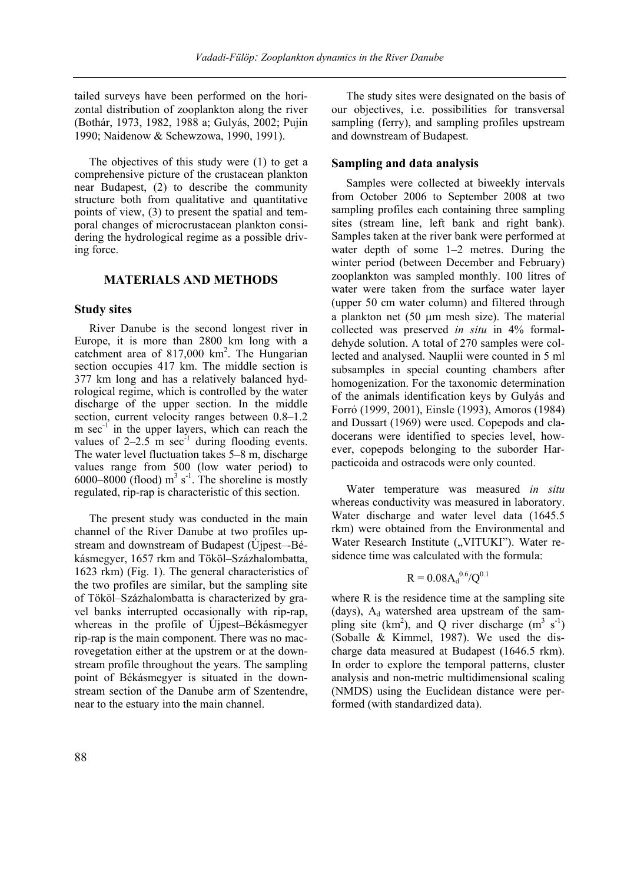tailed surveys have been performed on the horizontal distribution of zooplankton along the river (Bothár, 1973, 1982, 1988 a; Gulyás, 2002; Pujin 1990; Naidenow & Schewzowa, 1990, 1991).

The objectives of this study were (1) to get a comprehensive picture of the crustacean plankton near Budapest, (2) to describe the community structure both from qualitative and quantitative points of view, (3) to present the spatial and temporal changes of microcrustacean plankton considering the hydrological regime as a possible driving force.

## **MATERIALS AND METHODS**

#### **Study sites**

River Danube is the second longest river in Europe, it is more than 2800 km long with a catchment area of  $817,000$  km<sup>2</sup>. The Hungarian section occupies 417 km. The middle section is 377 km long and has a relatively balanced hydrological regime, which is controlled by the water discharge of the upper section. In the middle section, current velocity ranges between 0.8–1.2 m  $sec^{-1}$  in the upper layers, which can reach the values of  $2-2.5 \text{ m} \text{ sec}^{-1}$  during flooding events. The water level fluctuation takes 5–8 m, discharge values range from 500 (low water period) to  $6000-8000$  (flood)  $m^3$  s<sup>-1</sup>. The shoreline is mostly regulated, rip-rap is characteristic of this section.

The present study was conducted in the main channel of the River Danube at two profiles upstream and downstream of Budapest (Újpest–-Békásmegyer, 1657 rkm and Tököl–Százhalombatta, 1623 rkm) (Fig. 1). The general characteristics of the two profiles are similar, but the sampling site of Tököl–Százhalombatta is characterized by gravel banks interrupted occasionally with rip-rap, whereas in the profile of Újpest–Békásmegyer rip-rap is the main component. There was no macrovegetation either at the upstrem or at the downstream profile throughout the years. The sampling point of Békásmegyer is situated in the downstream section of the Danube arm of Szentendre, near to the estuary into the main channel.

The study sites were designated on the basis of our objectives, i.e. possibilities for transversal sampling (ferry), and sampling profiles upstream and downstream of Budapest.

#### **Sampling and data analysis**

Samples were collected at biweekly intervals from October 2006 to September 2008 at two sampling profiles each containing three sampling sites (stream line, left bank and right bank). Samples taken at the river bank were performed at water depth of some 1–2 metres. During the winter period (between December and February) zooplankton was sampled monthly. 100 litres of water were taken from the surface water layer (upper 50 cm water column) and filtered through a plankton net (50 µm mesh size). The material collected was preserved *in situ* in 4% formaldehyde solution. A total of 270 samples were collected and analysed. Nauplii were counted in 5 ml subsamples in special counting chambers after homogenization. For the taxonomic determination of the animals identification keys by Gulyás and Forró (1999, 2001), Einsle (1993), Amoros (1984) and Dussart (1969) were used. Copepods and cladocerans were identified to species level, however, copepods belonging to the suborder Harpacticoida and ostracods were only counted.

Water temperature was measured *in situ* whereas conductivity was measured in laboratory. Water discharge and water level data (1645.5 rkm) were obtained from the Environmental and Water Research Institute ("VITUKI"). Water residence time was calculated with the formula:

$$
R = 0.08 A_d^{0.6} / Q^{0.1}
$$

where R is the residence time at the sampling site (days),  $A_d$  watershed area upstream of the sampling site (km<sup>2</sup>), and Q river discharge (m<sup>3</sup> s<sup>-1</sup>) (Soballe & Kimmel, 1987). We used the discharge data measured at Budapest (1646.5 rkm). In order to explore the temporal patterns, cluster analysis and non-metric multidimensional scaling (NMDS) using the Euclidean distance were performed (with standardized data).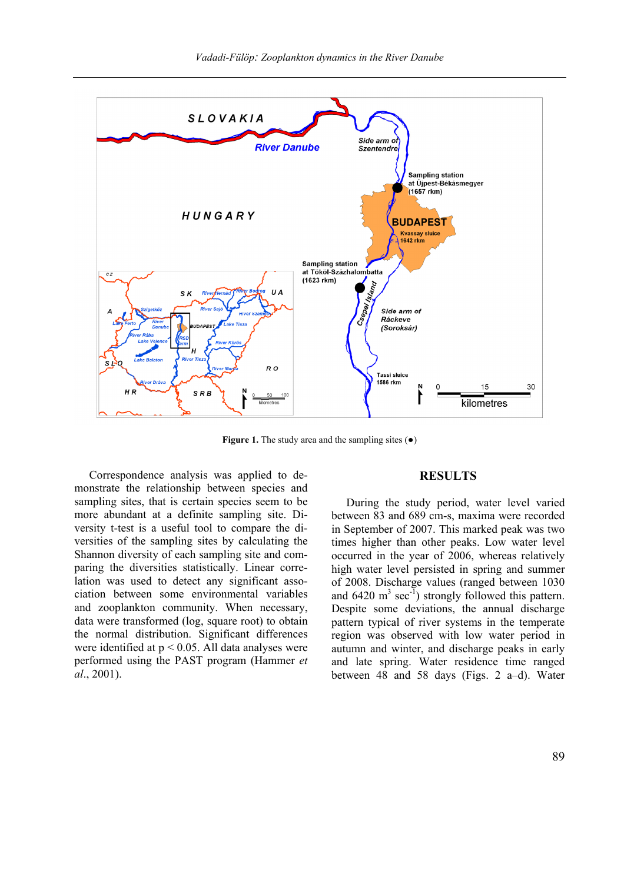

**Figure 1.** The study area and the sampling sites ( $\bullet$ )

Correspondence analysis was applied to demonstrate the relationship between species and sampling sites, that is certain species seem to be more abundant at a definite sampling site. Diversity t-test is a useful tool to compare the diversities of the sampling sites by calculating the Shannon diversity of each sampling site and comparing the diversities statistically. Linear correlation was used to detect any significant association between some environmental variables and zooplankton community. When necessary, data were transformed (log, square root) to obtain the normal distribution. Significant differences were identified at p < 0.05. All data analyses were performed using the PAST program (Hammer *et al*., 2001).

### **RESULTS**

During the study period, water level varied between 83 and 689 cm-s, maxima were recorded in September of 2007. This marked peak was two times higher than other peaks. Low water level occurred in the year of 2006, whereas relatively high water level persisted in spring and summer of 2008. Discharge values (ranged between 1030 and  $6420 \text{ m}^3 \text{ sec}^{-1}$ ) strongly followed this pattern. Despite some deviations, the annual discharge pattern typical of river systems in the temperate region was observed with low water period in autumn and winter, and discharge peaks in early and late spring. Water residence time ranged between 48 and 58 days (Figs. 2 a–d). Water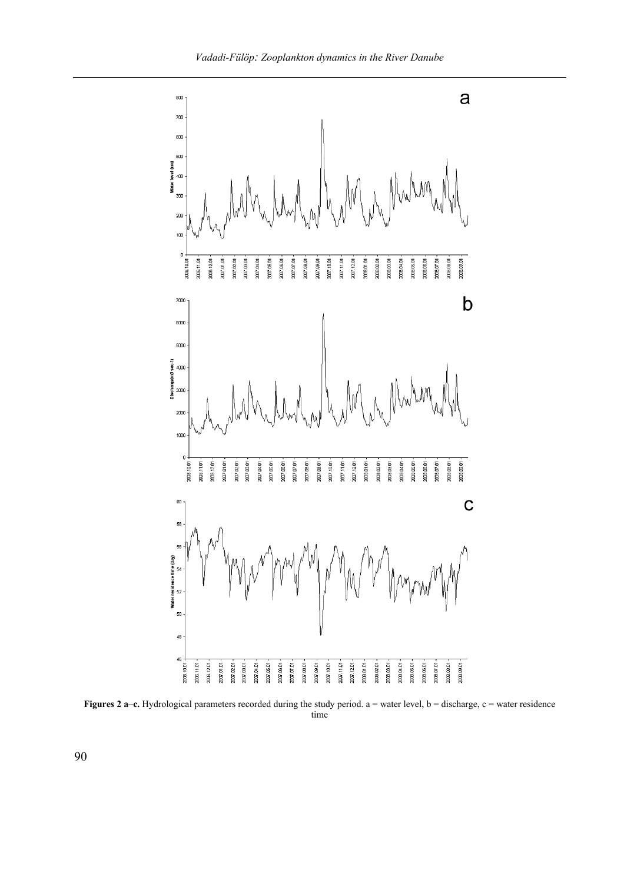

**Figures 2 a–c.** Hydrological parameters recorded during the study period. a = water level, b = discharge, c = water residence time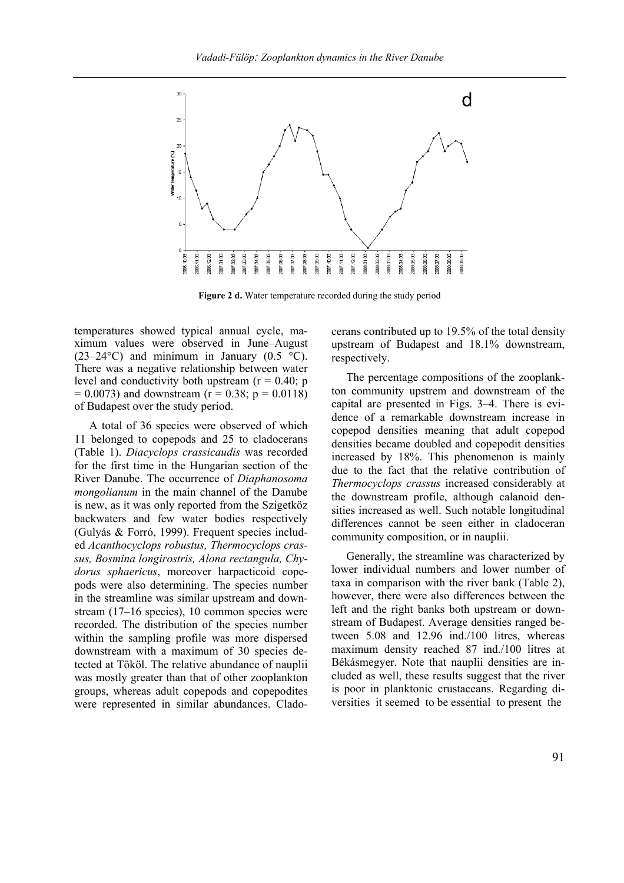

Figure 2 d. Water temperature recorded during the study period

temperatures showed typical annual cycle, maximum values were observed in June–August (23–24 $\textdegree$ C) and minimum in January (0.5  $\textdegree$ C). There was a negative relationship between water level and conductivity both upstream  $(r = 0.40; p$  $= 0.0073$ ) and downstream (r = 0.38; p = 0.0118) of Budapest over the study period.

A total of 36 species were observed of which 11 belonged to copepods and 25 to cladocerans (Table 1). *Diacyclops crassicaudis* was recorded for the first time in the Hungarian section of the River Danube. The occurrence of *Diaphanosoma mongolianum* in the main channel of the Danube is new, as it was only reported from the Szigetköz backwaters and few water bodies respectively (Gulyás & Forró, 1999). Frequent species included *Acanthocyclops robustus, Thermocyclops crassus, Bosmina longirostris, Alona rectangula, Chydorus sphaericus*, moreover harpacticoid copepods were also determining. The species number in the streamline was similar upstream and downstream (17–16 species), 10 common species were recorded. The distribution of the species number within the sampling profile was more dispersed downstream with a maximum of 30 species detected at Tököl. The relative abundance of nauplii was mostly greater than that of other zooplankton groups, whereas adult copepods and copepodites were represented in similar abundances. Cladocerans contributed up to 19.5% of the total density upstream of Budapest and 18.1% downstream, respectively.

The percentage compositions of the zooplankton community upstrem and downstream of the capital are presented in Figs. 3–4. There is evidence of a remarkable downstream increase in copepod densities meaning that adult copepod densities became doubled and copepodit densities increased by 18%. This phenomenon is mainly due to the fact that the relative contribution of *Thermocyclops crassus* increased considerably at the downstream profile, although calanoid densities increased as well. Such notable longitudinal differences cannot be seen either in cladoceran community composition, or in nauplii.

Generally, the streamline was characterized by lower individual numbers and lower number of taxa in comparison with the river bank (Table 2), however, there were also differences between the left and the right banks both upstream or downstream of Budapest. Average densities ranged between 5.08 and 12.96 ind./100 litres, whereas maximum density reached 87 ind./100 litres at Békásmegyer. Note that nauplii densities are included as well, these results suggest that the river is poor in planktonic crustaceans. Regarding diversities it seemed to be essential to present the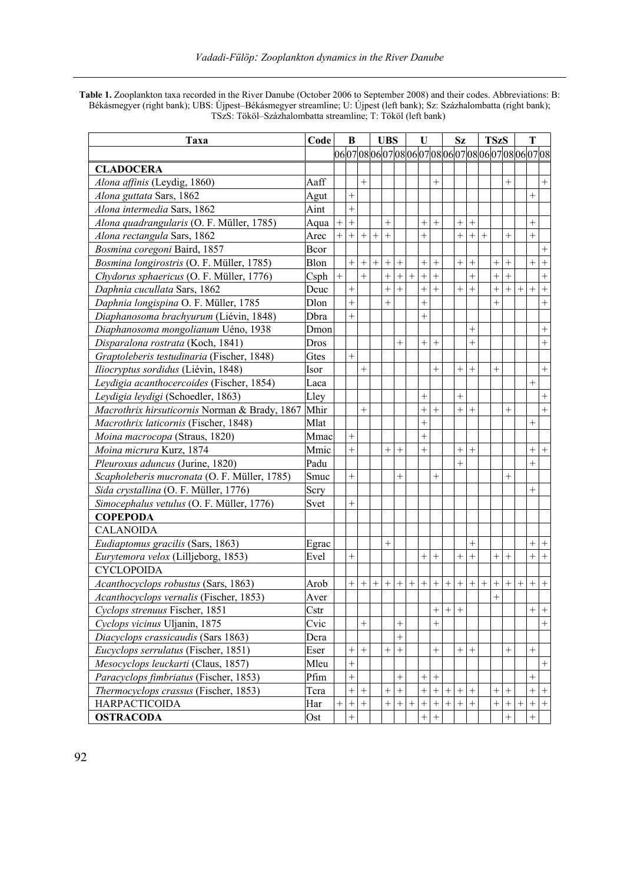**Table 1.** Zooplankton taxa recorded in the River Danube (October 2006 to September 2008) and their codes. Abbreviations: B: Békásmegyer (right bank); UBS: Újpest–Békásmegyer streamline; U: Újpest (left bank); Sz: Százhalombatta (right bank); TSzS: Tököl–Százhalombatta streamline; T: Tököl (left bank)

| Taxa                                          | Code  |        | B<br><b>UBS</b>   |        | U      |                  |                 | Sz        |                   |           |        | <b>TSzS</b>      |        | т   |        |        |        |                                            |                  |
|-----------------------------------------------|-------|--------|-------------------|--------|--------|------------------|-----------------|-----------|-------------------|-----------|--------|------------------|--------|-----|--------|--------|--------|--------------------------------------------|------------------|
|                                               |       |        |                   |        |        |                  |                 |           |                   |           |        |                  |        |     |        |        |        | 060708060708060708060708060708060708060708 |                  |
| <b>CLADOCERA</b>                              |       |        |                   |        |        |                  |                 |           |                   |           |        |                  |        |     |        |        |        |                                            |                  |
| Alona affinis (Leydig, 1860)                  | Aaff  |        |                   | $^{+}$ |        |                  |                 |           |                   | $^{+}$    |        |                  |        |     |        | $^{+}$ |        |                                            | $^{+}$           |
| Alona guttata Sars, 1862                      | Agut  |        | $^{+}$            |        |        |                  |                 |           |                   |           |        |                  |        |     |        |        |        | $^{+}$                                     |                  |
| Alona intermedia Sars, 1862                   | Aint  |        | $^{+}$            |        |        |                  |                 |           |                   |           |        |                  |        |     |        |        |        |                                            |                  |
| Alona quadrangularis (O. F. Müller, 1785)     | Aqua  | $+$    | $^{+}$            |        |        | $^{+}$           |                 |           | $^{+}$            | $^{+}$    |        | $^{+}$           | $^{+}$ |     |        |        |        | $^{+}$                                     |                  |
| Alona rectangula Sars, 1862                   | Arec  | $^{+}$ | $+$               | $+$    | $^{+}$ | $+$              |                 |           | $^{+}$            |           |        | $^{+}$           | $+$    | $+$ |        | $+$    |        | $^{+}$                                     |                  |
| Bosmina coregoni Baird, 1857                  | Bcor  |        |                   |        |        |                  |                 |           |                   |           |        |                  |        |     |        |        |        |                                            | $^{+}$           |
| Bosmina longirostris (O. F. Müller, 1785)     | Blon  |        | $^{+}$            | $^{+}$ | $^{+}$ | $^{+}$           | $^{+}$          |           | $\ddot{}$         | $^{+}$    |        | $^{+}$           | $^{+}$ |     | $^{+}$ | $^{+}$ |        | $+$                                        | $^{+}$           |
| Chydorus sphaericus (O. F. Müller, 1776)      | Csph  | $+$    |                   | $^{+}$ |        | $^{+}$           | $^{+}$          | $\ddot{}$ | $\ddot{}$         | $\ddot{}$ |        |                  | $+$    |     | $^{+}$ | $+$    |        |                                            | $+$              |
| Daphnia cucullata Sars, 1862                  | Deuc  |        | $^{+}$            |        |        | $^{+}$           | $+$             |           | $^{+}$            | $^{+}$    |        | $^{+}$           | $+$    |     | $^{+}$ | $^{+}$ | $^{+}$ | $+$                                        | $\,+\,$          |
| Daphnia longispina O. F. Müller, 1785         | Dlon  |        | $^{+}$            |        |        | $^{+}$           |                 |           | $^{+}$            |           |        |                  |        |     | $^{+}$ |        |        |                                            | $\boldsymbol{+}$ |
| Diaphanosoma brachyurum (Liévin, 1848)        | Dbra  |        | $^{+}$            |        |        |                  |                 |           | $^{+}$            |           |        |                  |        |     |        |        |        |                                            |                  |
| Diaphanosoma mongolianum Uéno, 1938           | Dmon  |        |                   |        |        |                  |                 |           |                   |           |        |                  | $^{+}$ |     |        |        |        |                                            | $^{+}$           |
| Disparalona rostrata (Koch, 1841)             | Dros  |        |                   |        |        |                  | $+$             |           | $+$               | $^{+}$    |        |                  | $^{+}$ |     |        |        |        |                                            | $\boldsymbol{+}$ |
| Graptoleberis testudinaria (Fischer, 1848)    | Gtes  |        | $^{+}$            |        |        |                  |                 |           |                   |           |        |                  |        |     |        |        |        |                                            |                  |
| Iliocryptus sordidus (Liévin, 1848)           | Isor  |        |                   | $^{+}$ |        |                  |                 |           |                   | $^{+}$    |        | $\overline{+}$   | $^{+}$ |     | $^{+}$ |        |        |                                            | $\boldsymbol{+}$ |
| Leydigia acanthocercoides (Fischer, 1854)     | Laca  |        |                   |        |        |                  |                 |           |                   |           |        |                  |        |     |        |        |        | $^{+}$                                     |                  |
| Leydigia leydigi (Schoedler, 1863)            | Lley  |        |                   |        |        |                  |                 |           | $^{+}$            |           |        | $^{+}$           |        |     |        |        |        |                                            |                  |
| Macrothrix hirsuticornis Norman & Brady, 1867 | Mhir  |        |                   | $+$    |        |                  |                 |           | $^{+}$            | $^{+}$    |        | $^{+}$           | $^{+}$ |     |        | $^{+}$ |        |                                            | $+$              |
| Macrothrix laticornis (Fischer, 1848)         | Mlat  |        |                   |        |        |                  |                 |           | $^{+}$            |           |        |                  |        |     |        |        |        | $^{+}$                                     |                  |
| Moina macrocopa (Straus, 1820)                | Mmac  |        | $^{+}$            |        |        |                  |                 |           | $^{+}$            |           |        |                  |        |     |        |        |        |                                            |                  |
| Moina micrura Kurz, 1874                      | Mmic  |        | $^{+}$            |        |        | $^{+}$           | $^{+}$          |           | $^{+}$            |           |        | $^{+}$           | $^{+}$ |     |        |        |        |                                            | $+$ +            |
| Pleuroxus aduncus (Jurine, 1820)              | Padu  |        |                   |        |        |                  |                 |           |                   |           |        | $^{+}$           |        |     |        |        |        | $^{+}$                                     |                  |
| Scapholeberis mucronata (O. F. Müller, 1785)  | Smuc  |        | $^{+}$            |        |        |                  | $^{+}$          |           |                   | $^{+}$    |        |                  |        |     |        | $^{+}$ |        |                                            |                  |
| Sida crystallina (O. F. Müller, 1776)         | Scry  |        |                   |        |        |                  |                 |           |                   |           |        |                  |        |     |        |        |        | $^{+}$                                     |                  |
| Simocephalus vetulus (O. F. Müller, 1776)     | Svet  |        | $^{+}$            |        |        |                  |                 |           |                   |           |        |                  |        |     |        |        |        |                                            |                  |
| <b>COPEPODA</b>                               |       |        |                   |        |        |                  |                 |           |                   |           |        |                  |        |     |        |        |        |                                            |                  |
| <b>CALANOIDA</b>                              |       |        |                   |        |        |                  |                 |           |                   |           |        |                  |        |     |        |        |        |                                            |                  |
| Eudiaptomus gracilis (Sars, 1863)             | Egrac |        |                   |        |        | $^{+}$           |                 |           |                   |           |        |                  | $^{+}$ |     |        |        |        | $+$                                        | $+$              |
| Eurytemora velox (Lilljeborg, 1853)           | Evel  |        | $^{+}$            |        |        |                  |                 |           | $+$               | $^{+}$    |        | $^{+}$           | $+$    |     | $^{+}$ | $+$    |        | $+$                                        | $\boldsymbol{+}$ |
| <b>CYCLOPOIDA</b>                             |       |        |                   |        |        |                  |                 |           |                   |           |        |                  |        |     |        |        |        |                                            |                  |
| Acanthocyclops robustus (Sars, 1863)          | Arob  |        | $^{+}$            |        | $^{+}$ | $^{+}$           | $\! + \!\!\!\!$ | $^{+}$    |                   | $^{+}$    | $^{+}$ | $^{+}$           | $^{+}$ |     |        | $^{+}$ | $^{+}$ | $+$                                        |                  |
| Acanthocyclops vernalis (Fischer, 1853)       | Aver  |        |                   |        |        |                  |                 |           |                   |           |        |                  |        |     | $^{+}$ |        |        |                                            |                  |
| Cyclops strenuus Fischer, 1851                | Cstr  |        |                   |        |        |                  |                 |           |                   | $^{+}$    | $^{+}$ | $^{+}$           |        |     |        |        |        |                                            | $+$ +            |
| Cyclops vicinus Uljanin, 1875                 | Cvic  |        |                   | $+$    |        |                  | $^{+}$          |           |                   | $^{+}$    |        |                  |        |     |        |        |        |                                            | $\boldsymbol{+}$ |
| Diacyclops crassicaudis (Sars 1863)           | Dcra  |        |                   |        |        |                  | $^{+}$          |           |                   |           |        |                  |        |     |        |        |        |                                            |                  |
| Eucyclops serrulatus (Fischer, 1851)          | Eser  |        | $^{+}$            | $+$    |        | $+$              | $^{+}$          |           |                   | $^{+}$    |        | $^+$             | $+$    |     |        | $+$    |        | $+$                                        |                  |
| Mesocyclops leuckarti (Claus, 1857)           | Mleu  |        | $^{+}$            |        |        |                  |                 |           |                   |           |        |                  |        |     |        |        |        |                                            | $\boldsymbol{+}$ |
| Paracyclops fimbriatus (Fischer, 1853)        | Pfim  |        | $^{+}$            |        |        |                  | $^{+}$          |           | $^{+}$            | $+$       |        |                  |        |     |        |        |        | $+$                                        |                  |
| Thermocyclops crassus (Fischer, 1853)         | Tera  |        | $\qquad \qquad +$ | $^{+}$ |        |                  | $+$             |           | $\qquad \qquad +$ | $+$       | $^{+}$ | $\boldsymbol{+}$ |        |     | $^{+}$ | $+$    |        |                                            | $+$ +            |
| <b>HARPACTICOIDA</b>                          | Har   | $^{+}$ | $^{+}$            | $+$    |        | $\boldsymbol{+}$ | $+$             | $^{+}$    | $\! + \!$         |           | $^{+}$ | $^{+}$           | $+$    |     | $^{+}$ | $+$    | $^{+}$ |                                            | $+$ +            |
| <b>OSTRACODA</b>                              | Ost   |        | $^{+}$            |        |        |                  |                 |           | $^{+}$            | $^{+}$    |        |                  |        |     |        | $^{+}$ |        | $^{+}$                                     |                  |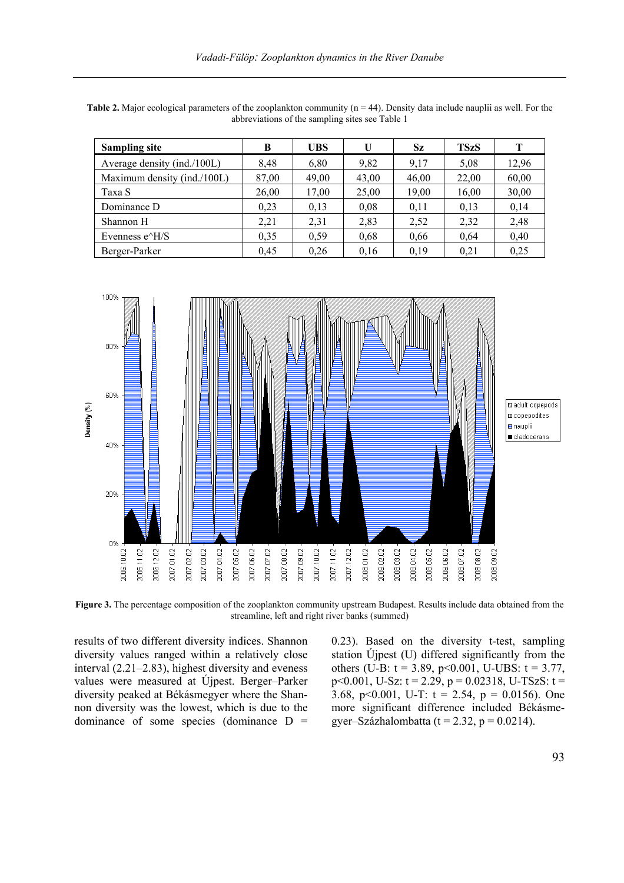| <b>Sampling site</b>                             | B     | UBS   | U     | <b>Sz</b> | <b>TSzS</b> |       |
|--------------------------------------------------|-------|-------|-------|-----------|-------------|-------|
| Average density (ind./100L)                      | 8,48  | 6,80  | 9,82  | 9.17      | 5,08        | 12,96 |
| Maximum density (ind./100L)                      | 87,00 | 49,00 | 43,00 | 46,00     | 22.00       | 60,00 |
| Taxa S                                           | 26,00 | 17,00 | 25,00 | 19,00     | 16,00       | 30,00 |
| Dominance D                                      | 0.23  | 0,13  | 0,08  | 0.11      | 0,13        | 0,14  |
| Shannon H                                        | 2,21  | 2,31  | 2,83  | 2,52      | 2,32        | 2,48  |
| Evenness e <sup><math>\triangle</math></sup> H/S | 0.35  | 0,59  | 0,68  | 0,66      | 0.64        | 0,40  |
| Berger-Parker                                    | 0,45  | 0,26  | 0.16  | 0,19      | 0.21        | 0,25  |

**Table 2.** Major ecological parameters of the zooplankton community (n = 44). Density data include nauplii as well. For the abbreviations of the sampling sites see Table 1



**Figure 3.** The percentage composition of the zooplankton community upstream Budapest. Results include data obtained from the streamline, left and right river banks (summed)

results of two different diversity indices. Shannon diversity values ranged within a relatively close interval (2.21–2.83), highest diversity and eveness values were measured at Újpest. Berger–Parker diversity peaked at Békásmegyer where the Shannon diversity was the lowest, which is due to the dominance of some species (dominance  $D =$ 

0.23). Based on the diversity t-test, sampling station Újpest (U) differed significantly from the others (U-B:  $t = 3.89$ ,  $p < 0.001$ , U-UBS:  $t = 3.77$ , p<0.001, U-Sz:  $t = 2.29$ ,  $p = 0.02318$ , U-TSzS:  $t =$ 3.68, p<0.001, U-T:  $t = 2.54$ ,  $p = 0.0156$ ). One more significant difference included Békásmegyer–Százhalombatta (t = 2.32, p =  $0.0214$ ).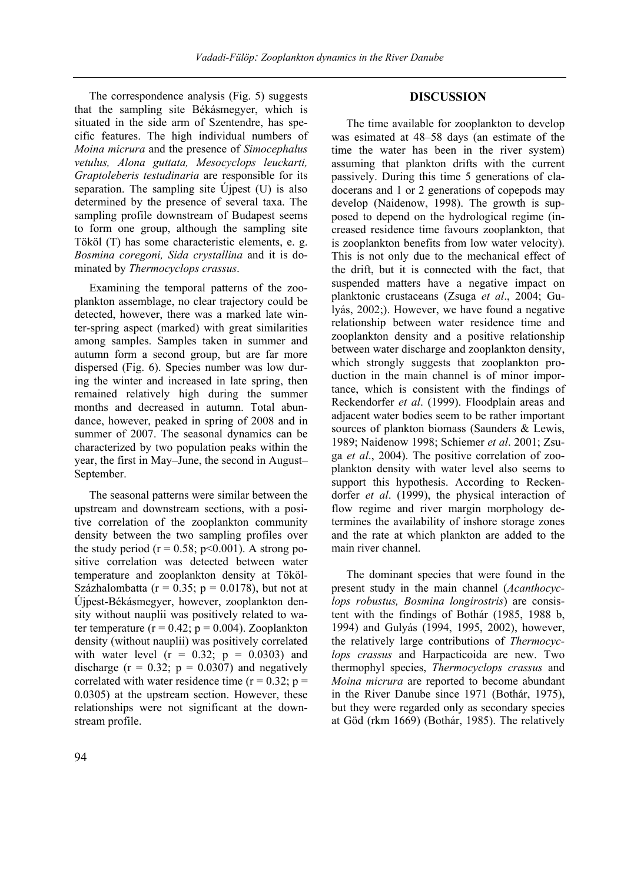The correspondence analysis (Fig. 5) suggests that the sampling site Békásmegyer, which is situated in the side arm of Szentendre, has specific features. The high individual numbers of *Moina micrura* and the presence of *Simocephalus vetulus, Alona guttata, Mesocyclops leuckarti, Graptoleberis testudinaria* are responsible for its separation. The sampling site Újpest (U) is also determined by the presence of several taxa. The sampling profile downstream of Budapest seems to form one group, although the sampling site Tököl (T) has some characteristic elements, e. g. *Bosmina coregoni, Sida crystallina* and it is dominated by *Thermocyclops crassus*.

Examining the temporal patterns of the zooplankton assemblage, no clear trajectory could be detected, however, there was a marked late winter-spring aspect (marked) with great similarities among samples. Samples taken in summer and autumn form a second group, but are far more dispersed (Fig. 6). Species number was low during the winter and increased in late spring, then remained relatively high during the summer months and decreased in autumn. Total abundance, however, peaked in spring of 2008 and in summer of 2007. The seasonal dynamics can be characterized by two population peaks within the year, the first in May–June, the second in August– September.

The seasonal patterns were similar between the upstream and downstream sections, with a positive correlation of the zooplankton community density between the two sampling profiles over the study period ( $r = 0.58$ ;  $p < 0.001$ ). A strong positive correlation was detected between water temperature and zooplankton density at Tököl-Százhalombatta ( $r = 0.35$ ;  $p = 0.0178$ ), but not at Újpest-Békásmegyer, however, zooplankton density without nauplii was positively related to water temperature ( $r = 0.42$ ;  $p = 0.004$ ). Zooplankton density (without nauplii) was positively correlated with water level  $(r = 0.32; p = 0.0303)$  and discharge ( $r = 0.32$ ;  $p = 0.0307$ ) and negatively correlated with water residence time ( $r = 0.32$ ;  $p =$ 0.0305) at the upstream section. However, these relationships were not significant at the downstream profile.

## **DISCUSSION**

The time available for zooplankton to develop was esimated at 48–58 days (an estimate of the time the water has been in the river system) assuming that plankton drifts with the current passively. During this time 5 generations of cladocerans and 1 or 2 generations of copepods may develop (Naidenow, 1998). The growth is supposed to depend on the hydrological regime (increased residence time favours zooplankton, that is zooplankton benefits from low water velocity). This is not only due to the mechanical effect of the drift, but it is connected with the fact, that suspended matters have a negative impact on planktonic crustaceans (Zsuga *et al*., 2004; Gulyás, 2002;). However, we have found a negative relationship between water residence time and zooplankton density and a positive relationship between water discharge and zooplankton density, which strongly suggests that zooplankton production in the main channel is of minor importance, which is consistent with the findings of Reckendorfer *et al*. (1999). Floodplain areas and adjacent water bodies seem to be rather important sources of plankton biomass (Saunders & Lewis, 1989; Naidenow 1998; Schiemer *et al*. 2001; Zsuga *et al*., 2004). The positive correlation of zooplankton density with water level also seems to support this hypothesis. According to Reckendorfer *et al*. (1999), the physical interaction of flow regime and river margin morphology determines the availability of inshore storage zones and the rate at which plankton are added to the main river channel.

The dominant species that were found in the present study in the main channel (*Acanthocyclops robustus, Bosmina longirostris*) are consistent with the findings of Bothár (1985, 1988 b, 1994) and Gulyás (1994, 1995, 2002), however, the relatively large contributions of *Thermocyclops crassus* and Harpacticoida are new. Two thermophyl species, *Thermocyclops crassus* and *Moina micrura* are reported to become abundant in the River Danube since 1971 (Bothár, 1975), but they were regarded only as secondary species at Göd (rkm 1669) (Bothár, 1985). The relatively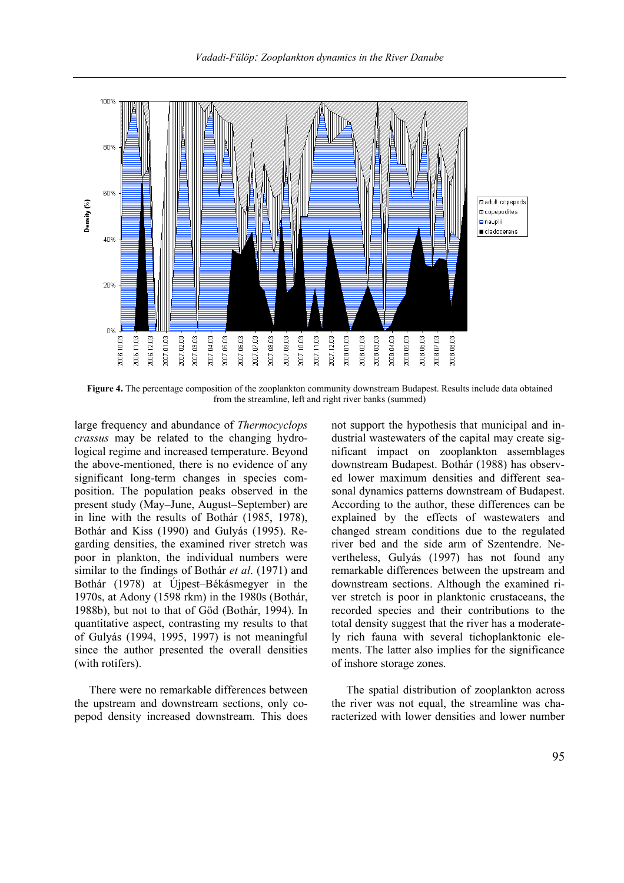

**Figure 4.** The percentage composition of the zooplankton community downstream Budapest. Results include data obtained from the streamline, left and right river banks (summed)

large frequency and abundance of *Thermocyclops crassus* may be related to the changing hydrological regime and increased temperature. Beyond the above-mentioned, there is no evidence of any significant long-term changes in species composition. The population peaks observed in the present study (May–June, August–September) are in line with the results of Bothár (1985, 1978), Bothár and Kiss (1990) and Gulyás (1995). Regarding densities, the examined river stretch was poor in plankton, the individual numbers were similar to the findings of Bothár *et al*. (1971) and Bothár (1978) at Újpest–Békásmegyer in the 1970s, at Adony (1598 rkm) in the 1980s (Bothár, 1988b), but not to that of Göd (Bothár, 1994). In quantitative aspect, contrasting my results to that of Gulyás (1994, 1995, 1997) is not meaningful since the author presented the overall densities (with rotifers).

There were no remarkable differences between the upstream and downstream sections, only copepod density increased downstream. This does not support the hypothesis that municipal and industrial wastewaters of the capital may create significant impact on zooplankton assemblages downstream Budapest. Bothár (1988) has observed lower maximum densities and different seasonal dynamics patterns downstream of Budapest. According to the author, these differences can be explained by the effects of wastewaters and changed stream conditions due to the regulated river bed and the side arm of Szentendre. Nevertheless, Gulyás (1997) has not found any remarkable differences between the upstream and downstream sections. Although the examined river stretch is poor in planktonic crustaceans, the recorded species and their contributions to the total density suggest that the river has a moderately rich fauna with several tichoplanktonic elements. The latter also implies for the significance of inshore storage zones.

The spatial distribution of zooplankton across the river was not equal, the streamline was characterized with lower densities and lower number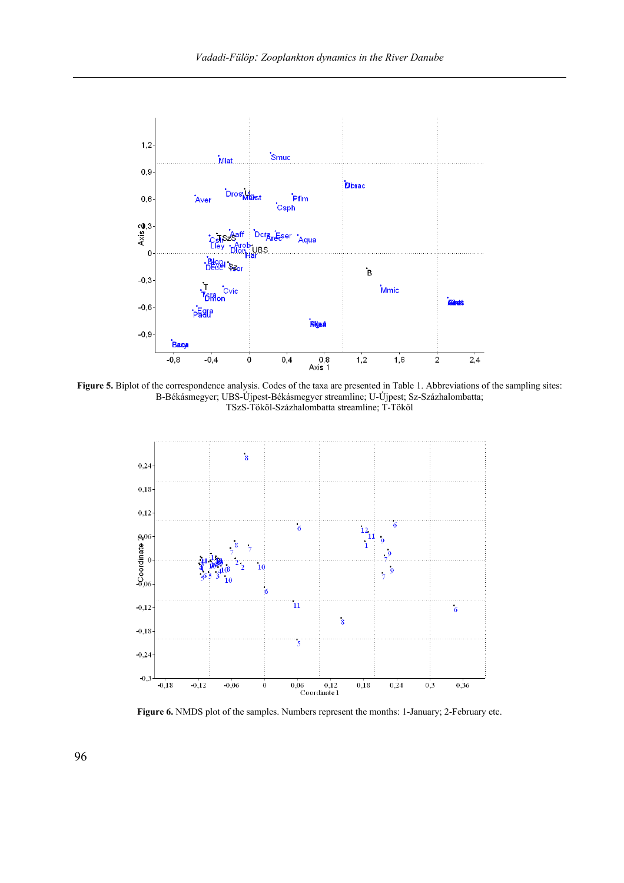

**Figure 5.** Biplot of the correspondence analysis. Codes of the taxa are presented in Table 1. Abbreviations of the sampling sites: B-Békásmegyer; UBS-Újpest-Békásmegyer streamline; U-Újpest; Sz-Százhalombatta; TSzS-Tököl-Százhalombatta streamline; T-Tököl



Figure 6. NMDS plot of the samples. Numbers represent the months: 1-January; 2-February etc.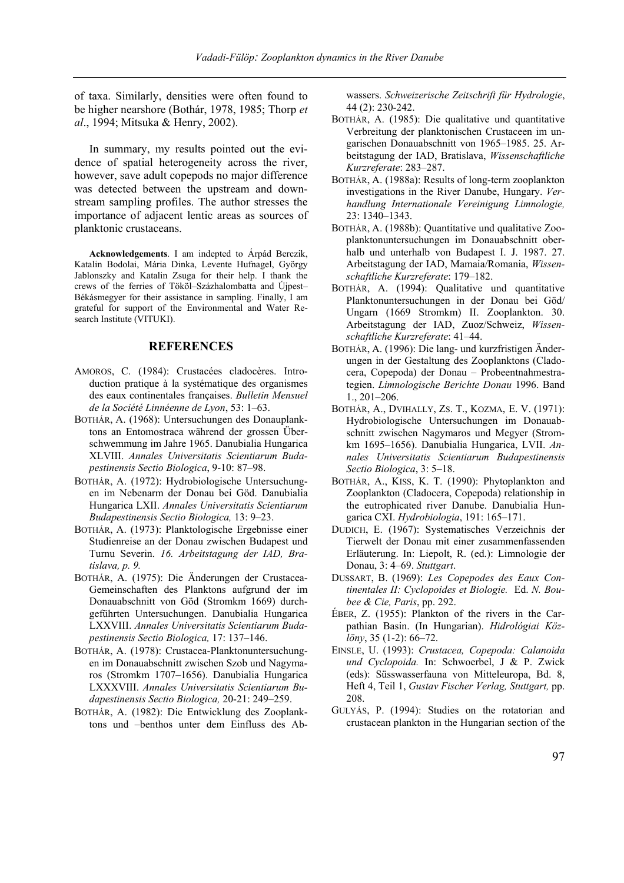of taxa. Similarly, densities were often found to be higher nearshore (Bothár, 1978, 1985; Thorp *et al*., 1994; Mitsuka & Henry, 2002).

In summary, my results pointed out the evidence of spatial heterogeneity across the river, however, save adult copepods no major difference was detected between the upstream and downstream sampling profiles. The author stresses the importance of adjacent lentic areas as sources of planktonic crustaceans.

**Acknowledgements**. I am indepted to Árpád Berczik, Katalin Bodolai, Mária Dinka, Levente Hufnagel, György Jablonszky and Katalin Zsuga for their help. I thank the crews of the ferries of Tököl–Százhalombatta and Újpest– Békásmegyer for their assistance in sampling. Finally, I am grateful for support of the Environmental and Water Research Institute (VITUKI).

#### **REFERENCES**

- AMOROS, C. (1984): Crustacées cladocères. Introduction pratique à la systématique des organismes des eaux continentales françaises. *Bulletin Mensuel de la Société Linnéenne de Lyon*, 53: 1–63.
- BOTHÁR, A. (1968): Untersuchungen des Donauplanktons an Entomostraca während der grossen Überschwemmung im Jahre 1965. Danubialia Hungarica XLVIII. *Annales Universitatis Scientiarum Budapestinensis Sectio Biologica*, 9-10: 87–98.
- BOTHÁR, A. (1972): Hydrobiologische Untersuchungen im Nebenarm der Donau bei Göd. Danubialia Hungarica LXII. *Annales Universitatis Scientiarum Budapestinensis Sectio Biologica,* 13: 9–23.
- BOTHÁR, A. (1973): Planktologische Ergebnisse einer Studienreise an der Donau zwischen Budapest und Turnu Severin. *16. Arbeitstagung der IAD, Bratislava, p. 9.*
- BOTHÁR, A. (1975): Die Änderungen der Crustacea-Gemeinschaften des Planktons aufgrund der im Donauabschnitt von Göd (Stromkm 1669) durchgeführten Untersuchungen. Danubialia Hungarica LXXVIII. *Annales Universitatis Scientiarum Budapestinensis Sectio Biologica,* 17: 137–146.
- BOTHÁR, A. (1978): Crustacea-Planktonuntersuchungen im Donauabschnitt zwischen Szob und Nagymaros (Stromkm 1707–1656). Danubialia Hungarica LXXXVIII. *Annales Universitatis Scientiarum Budapestinensis Sectio Biologica,* 20-21: 249–259.
- BOTHÁR, A. (1982): Die Entwicklung des Zooplanktons und –benthos unter dem Einfluss des Ab-

wassers. *Schweizerische Zeitschrift für Hydrologie*, 44 (2): 230-242.

- BOTHÁR, A. (1985): Die qualitative und quantitative Verbreitung der planktonischen Crustaceen im ungarischen Donauabschnitt von 1965–1985. 25. Arbeitstagung der IAD, Bratislava, *Wissenschaftliche Kurzreferate*: 283–287.
- BOTHÁR, A. (1988a): Results of long-term zooplankton investigations in the River Danube, Hungary. *Verhandlung Internationale Vereinigung Limnologie,* 23: 1340–1343.
- BOTHÁR, A. (1988b): Quantitative und qualitative Zooplanktonuntersuchungen im Donauabschnitt oberhalb und unterhalb von Budapest I. J. 1987. 27. Arbeitstagung der IAD, Mamaia/Romania, *Wissenschaftliche Kurzreferate*: 179–182.
- BOTHÁR, A. (1994): Qualitative und quantitative Planktonuntersuchungen in der Donau bei Göd/ Ungarn (1669 Stromkm) II. Zooplankton. 30. Arbeitstagung der IAD, Zuoz/Schweiz, *Wissenschaftliche Kurzreferate*: 41–44.
- BOTHÁR, A. (1996): Die lang- und kurzfristigen Änderungen in der Gestaltung des Zooplanktons (Cladocera, Copepoda) der Donau – Probeentnahmestrategien. *Limnologische Berichte Donau* 1996. Band 1., 201–206.
- BOTHÁR, A., DVIHALLY, ZS. T., KOZMA, E. V. (1971): Hydrobiologische Untersuchungen im Donauabschnitt zwischen Nagymaros und Megyer (Stromkm 1695–1656). Danubialia Hungarica, LVII. *Annales Universitatis Scientiarum Budapestinensis Sectio Biologica*, 3: 5–18.
- BOTHÁR, A., KISS, K. T. (1990): Phytoplankton and Zooplankton (Cladocera, Copepoda) relationship in the eutrophicated river Danube. Danubialia Hungarica CXI. *Hydrobiologia*, 191: 165–171.
- DUDICH, E. (1967): Systematisches Verzeichnis der Tierwelt der Donau mit einer zusammenfassenden Erläuterung. In: Liepolt, R. (ed.): Limnologie der Donau, 3: 4–69. *Stuttgart*.
- DUSSART, B. (1969): *Les Copepodes des Eaux Continentales II: Cyclopoides et Biologie.* Ed. *N. Boubee & Cie, Paris*, pp. 292.
- ÉBER, Z. (1955): Plankton of the rivers in the Carpathian Basin. (In Hungarian). *Hidrológiai Közlöny*, 35 (1-2): 66–72.
- EINSLE, U. (1993): *Crustacea, Copepoda: Calanoida und Cyclopoida.* In: Schwoerbel, J & P. Zwick (eds): Süsswasserfauna von Mitteleuropa, Bd. 8, Heft 4, Teil 1, *Gustav Fischer Verlag, Stuttgart,* pp. 208.
- GULYÁS, P. (1994): Studies on the rotatorian and crustacean plankton in the Hungarian section of the